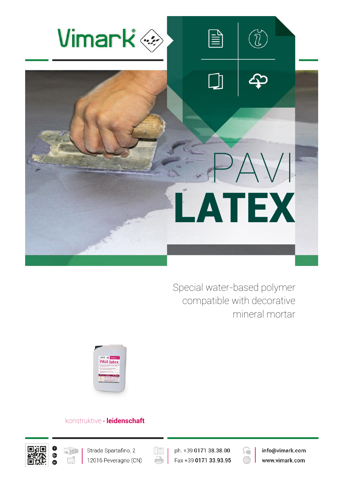

Special water-based polymer compatible with decorative mineral mortar



## konstruktive **∙ leidenschaft**





 $(\boxed{\mathbb{E}}$ e

ph. +39 0171 38.38.00 Fax +39 0171 33.93.95



info@vimark.com www.vimark.com